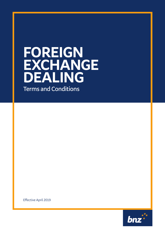# **FOREIGN EXCHANGE DEALING**

**Terms and Conditions**

Effective April 2019

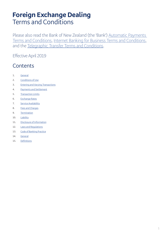### **Foreign Exchange Dealing**  Terms and Conditions

Please also read the Bank of New Zealand (the 'Bank') Automatic Payments Terms and Conditions, Internet Banking for Business Terms and Conditions, and the Telegraphic Transfer Terms and Conditions.

Effective April 2019

#### **Contents**

- 1. General
- 2. Conditions of Use
- 3. Entering and Varying Transactions
- 4. Payments and Settlement
- 5. Transaction Limits
- 6. Exchange Rates
- 7. Service Availability
- 8. Fees and Charges
- 9. Termination
- 10. Liability
- 11. Disclosure of Information
- 12. Laws and Regulations
- 13. Code of Banking Practice
- 14. General
- 15. Definitions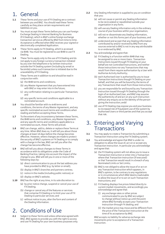#### 1. General

- **1.1** These Terms and your use of FX Dealing are a contract between you and BNZ. You should read these Terms carefully as they place certain requirements and liabilities on you.
- **1.2** You must accept these Terms before you can use Foreign Exchange Dealing in Internet Banking for Business (FX Dealing), which is BNZ's online foreign exchange transaction service as offered by BNZ from time to time. Acceptance is effected when BNZ receives your signed or electronically completed Application.
- **1.3** These Terms apply to FX Dealing, which is accessed via IB4B. You must be registered to use IB4B to use FX Dealing.
- **1.4** These Terms apply only to the use of FX Dealing and do not apply to any foreign currency transaction initiated by you over the telephone or by written instruction outside the FX Dealing system (including by email or facsimile) unless such transaction is initiated due to the unavailability of FX Dealing.
- **1.5** These Terms are in addition to and should be read in conjunction with:
	- (a) the IB4B terms and conditions;
	- (b) any Master Agreement that you have entered into with BNZ or may enter into in the future;
	- (c) any confirmation relating to a particular Transaction; and
	- (d) any specific terms and conditions applicable to a nominated account.
- **1.6** You should be familiar with the IB4B terms and conditions, the terms of any Master Agreement, and any specific nominated account terms and conditions when reading and before accepting these Terms.
- **1.7** To the extent of any inconsistency between these Terms, the IB4B terms and conditions, any Master Agreement and any specific terms and conditions applicable to a nominated account, these Terms will prevail.
- 1.8 BNZ can change, add to, delete or replace these Terms at any time. When BNZ does so, it will tell you about those changes at least 14 days before the change becomes effective. However, where changes are made to protect the security of BNZ's systems or FX Dealing or to comply with a change in the law, BNZ can tell you after the change has become effective.
- **1.9** BNZ will tell you about changes to these Terms in accordance with its obligations under the Code of Banking Practice, taking into account the impact of the change to you. BNZ will tell you in one or more of the following ways by:
	- (a) direct communication to you at the last address you have provided to BNZ (e.g. by letter or email);
	- (b) display in BNZ's branches and partners centres;
	- (c) notice in the media (including public notices); or
	- (d) display on BNZ's website.
- **1.10** BNZ has the right at any time, in its sole discretion to:
	- (a) by prior notice change, suspend or cancel your use of FX Dealing;
	- (b) change or cancel any of the features or services that comprise FX Dealing or to limit your use of FX Dealing to particular services; and
	- (c) without notice to you, alter the form and content of the Dealing Information.

#### 2. Conditions of Use

**2.1** Subject to these Terms and unless otherwise agreed with BNZ, BNZ agrees to provide you with the right to access and use FX Dealing for your own business purposes only.

- **2.2** Any Dealing Information is supplied to you on condition that you:
	- (a) will not cause or permit any Dealing Information to be recirculated or republished outside your organisation in any form;
	- (b) will use any Dealing Information only in the ordinary course of your business within your organisation;
	- (c) will not re-disseminate any Dealing Information, whether or not this forms part of your business; and
	- (d) understand and accept that any Dealing Information contributed by and/or received by BNZ from any sources external to BNZ is not in any way attributable to or endorsed by BNZ.
- **2.3** You acknowledge and agree that:
	- (a) FX Dealing is a Function within IB4B that may be assigned to one or more Users. Transaction Instructions issued through FX Dealing on your behalf are not Controlled Instructions, and neither those instructions nor any Transactions that may result from them require authorisation by a User with Authorise Activity Authority;
	- (b) each Authorised User is authorised by you to issue Transaction Instructions though FX Dealing on your behalf, and that you will be bound by the terms of any Transactions that result from those instructions;
	- (c) you are responsible for and bound by any Transaction Instruction issued through FX Dealing through the login of an Authorised User, and BNZ may assume the authenticity of and act on any such instruction without any enquiry as to the identity of the person giving the instruction; andd
	- (d) use of FX Dealing may expose you and your business to increased risk of fraudulent use of the system by Authorised Users or third parties and that you accept that risk.

#### 3. Entering and Varying **Transactions**

- **3.1** You may apply to create a Transaction by submitting a Transaction Instruction using the FX Dealing system.
- **3.2** You acknowledge and agree that BNZ is under no obligation to allow the issue of, act on or accept any Transaction Instruction. In particular you acknowledge and agree that:
	- (a) the FX Dealing system will not allow you to issue a Transaction Instruction or enter into a Transaction where that Transaction Instruction (if executed) or that Transaction would result in a breach of any Nominated Limits or Set Limits;
	- (b) BNZ is not obliged to allow the issue of or act on any Transaction Instruction which appears, in BNZ's opinion, to be contrary to any regulations or in circumstances which BNZ deems inadvisable to allow the issue of or to act on such Transaction Instructions; and
	- (c) FX Dealing displays live prices linked directly to current market movements, and accordingly you acknowledge and agree that:
		- (i) any exchange rates or other prices communicated to you by BNZ are subject to change without notice up until the point where BNZ formally accepts your Transaction Instruction through FX dealing; and
		- (ii) the market price may move and be different from the price of the Transaction Instruction at the time of its acceptance by BNZ.

BNZ accepts no liability for adverse exchange rate movements prior to acceptance of a Transaction Instruction.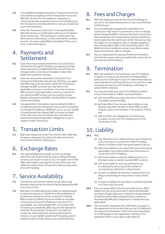- **3.3** You and BNZ are legally bound by a Transaction from the time of BNZ's acceptance of the Transaction Instruction. BNZ will, at the time of acceptance, endeavour to communicate that acceptance to you via FX Dealing, but the Transaction is binding whether or not you receive any such communication.
- **3.4** Once the Transaction Instruction is accepted by BNZ, BNZ will send you a confirmation setting out the details of the Transaction. The Transaction is valid even if we fail to send a confirmation, or the confirmation contains an error. You must notify BNZ immediately if there is an error in the confirmation.

## 4. Payments and Settlement

- **4.1** If you have not provided settlement instructions for a Transaction through FX Dealing, you agree to provide these instructions to BNZ before the cut-off times for the applicable currencies on the date or dates that settlement payments are due.
- **4.2** If you do not provide settlement instructions for a Transaction before the relevant cut-off times, you agree that BNZ may, at its discretion, settle the Transaction through any BNZ accounts you may have in the applicable currency or currencies. If you do not have a BNZ account in any applicable currency or currencies, you authorise BNZ to open such account(s) on your behalf, and agree to pay BNZ's standard fees in respect of those account(s).
- **4.3** You agree that a Transaction may be settled by BNZ in accordance with any settlement instructions received by us through FX Dealing or IB4B from you or on your behalf including where the relevant BNZ accounts included in the instruction are not held by you, and that such settlement will discharge BNZ's obligations to you in respect of that Transaction.

#### 5. Transaction Limits

**5.1** BNZ may impose Set Limits from time to time. BNZ may increase or decrease Set Limits at its discretion from time to time without notifying you.

#### 6. Exchange Rates

**6.1** You acknowledge that foreign currency exchange rates fluctuate and that the buying or selling of foreign currency can result in a loss to you. You agree not to hold BNZ responsible in any way for any loss which you may suffer as a result of any Transactions that you may enter into via FX Dealing

#### 7. Service Availability

- **7.1** Transaction Instructions may be issued only on the Business Days and at the times of day designated by BNZ from time to time.
- **7.2** BNZ gives no undertaking and makes no representation or warranty express or implied as to the availability of the features and services that comprise FX Dealing. BNZ accepts no liability if you are unable to complete a Transaction because FX Dealing or any part of it is unavailable. You acknowledge that, in the event that FX Dealing is unavailable, BNZ may provide alternative methods of executing a Transaction, but need not accept any Authorised User as being authorised to transact on your behalf outside the FX Dealing system solely by reason of their status as an Authorised User.

#### 8. Fees and Charges

- **8.1** BNZ will charge you fees for the use of FX Dealing as set out on our website (www.bnz.co.nz) or as otherwise notified to you.
- **8.2** You acknowledge and agree that settlement of a Transaction may result in commissions, fees or charges being charged by BNZ or third parties (and, in particular, the involvement of correspondents and any beneficiary bank means that the settlement of the Transaction may be subject to commissions, fees or charges payable to the correspondent, BNZ or the beneficiary bank). The IB4B terms and conditions contain more details about these commissions, fees or charges.
- **8.3** You are responsible for paying all telecommunication and internet access costs associated with connection to the internet and FX Dealing.

#### 9. Termination

- **9.1** BNZ may suspend or terminate your use of FX Dealing in whole or in part at any time with immediate effect without prior notification to you if it determines that you have breached any of these Terms or as it sees fit in order to protect the security of FX Dealing or otherwise to protect BNZ's interests.
- **9.2** You may terminate your use of FX Dealing by written notice of termination to BNZ. Such termination:
	- (a) will not be effective unless the notice of termination is actually received by BNZ;
	- (b) will take effect from no later than 6:00pm on the Business Day after the day on which BNZ actually receives notice of termination ("Termination Time"); and
	- (c) will not affect any obligations incurred by you in respect of your use of FX Dealing prior to the Termination Time.

#### 10. Liability

- **10.1** BNZ:
	- (a) may decline to act or delay acting on any Transaction Instruction given in connection with FX Dealing where it considers that it has good reason to do so;
	- (b) will not be liable for any claim that arises from acting reasonably in accordance with your instructions in connection with FX Dealing;
	- (c) will not be liable for any loss suffered by you or a third party due to matters outside BNZ's control;
	- (d) will not be liable for any loss suffered by you or a third party due to any of the matters or circumstances referred to in these Terms;
	- (e) accepts no liability for the loss or destruction of, or delay in processing of instructions or documents; and
	- (f) accepts no liability for any delay in transferring funds to or from your accounts.
- **10.2** If for any reason BNZ is found to be liable to you, BNZ's liability for loss of any kind which cannot be excluded by reason of applicable law is limited to reimbursement of any fees paid to BNZ arising directly in relation to the adversely affected Transaction or Transactions (as applicable).
- **10.3** The Consumer Guarantees Act 1993 does not apply to this agreement to the extent that you use FX Dealing for the purpose of a business. If the Consumer Guarantees Act 1993 applies to this agreement, nothing in this agreement affects your rights under that Act.